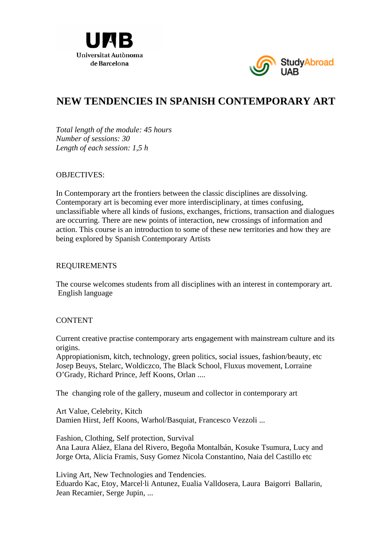



# **NEW TENDENCIES IN SPANISH CONTEMPORARY ART**

*Total length of the module: 45 hours Number of sessions: 30 Length of each session: 1,5 h* 

## OBJECTIVES:

In Contemporary art the frontiers between the classic disciplines are dissolving. Contemporary art is becoming ever more interdisciplinary, at times confusing, unclassifiable where all kinds of fusions, exchanges, frictions, transaction and dialogues are occurring. There are new points of interaction, new crossings of information and action. This course is an introduction to some of these new territories and how they are being explored by Spanish Contemporary Artists

### REQUIREMENTS

The course welcomes students from all disciplines with an interest in contemporary art. English language

### **CONTENT**

Current creative practise contemporary arts engagement with mainstream culture and its origins.

Appropiationism, kitch, technology, green politics, social issues, fashion/beauty, etc Josep Beuys, Stelarc, Woldiczco, The Black School, Fluxus movement, Lorraine O'Grady, Richard Prince, Jeff Koons, Orlan ....

The changing role of the gallery, museum and collector in contemporary art

Art Value, Celebrity, Kitch Damien Hirst, Jeff Koons, Warhol/Basquiat, Francesco Vezzoli ...

Fashion, Clothing, Self protection, Survival Ana Laura Aláez, Elana del Rivero, Begoña Montalbán, Kosuke Tsumura, Lucy and Jorge Orta, Alicia Framis, Susy Gomez Nicola Constantino, Naia del Castillo etc

Living Art, New Technologies and Tendencies. Eduardo Kac, Etoy, Marcel·li Antunez, Eualia Valldosera, Laura Baigorri Ballarin, Jean Recamier, Serge Jupin, ...